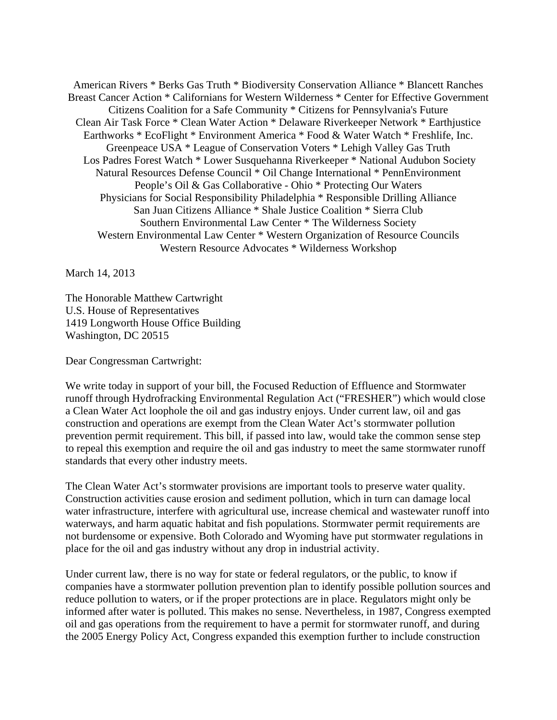American Rivers \* Berks Gas Truth \* Biodiversity Conservation Alliance \* Blancett Ranches Breast Cancer Action \* Californians for Western Wilderness \* Center for Effective Government Citizens Coalition for a Safe Community \* Citizens for Pennsylvania's Future Clean Air Task Force \* Clean Water Action \* Delaware Riverkeeper Network \* Earthjustice Earthworks \* EcoFlight \* Environment America \* Food & Water Watch \* Freshlife, Inc. Greenpeace USA \* League of Conservation Voters \* Lehigh Valley Gas Truth Los Padres Forest Watch \* Lower Susquehanna Riverkeeper \* National Audubon Society Natural Resources Defense Council \* Oil Change International \* PennEnvironment People's Oil & Gas Collaborative - Ohio \* Protecting Our Waters Physicians for Social Responsibility Philadelphia \* Responsible Drilling Alliance San Juan Citizens Alliance \* Shale Justice Coalition \* Sierra Club Southern Environmental Law Center \* The Wilderness Society Western Environmental Law Center \* Western Organization of Resource Councils Western Resource Advocates \* Wilderness Workshop

March 14, 2013

The Honorable Matthew Cartwright U.S. House of Representatives 1419 Longworth House Office Building Washington, DC 20515

Dear Congressman Cartwright:

We write today in support of your bill, the Focused Reduction of Effluence and Stormwater runoff through Hydrofracking Environmental Regulation Act ("FRESHER") which would close a Clean Water Act loophole the oil and gas industry enjoys. Under current law, oil and gas construction and operations are exempt from the Clean Water Act's stormwater pollution prevention permit requirement. This bill, if passed into law, would take the common sense step to repeal this exemption and require the oil and gas industry to meet the same stormwater runoff standards that every other industry meets.

The Clean Water Act's stormwater provisions are important tools to preserve water quality. Construction activities cause erosion and sediment pollution, which in turn can damage local water infrastructure, interfere with agricultural use, increase chemical and wastewater runoff into waterways, and harm aquatic habitat and fish populations. Stormwater permit requirements are not burdensome or expensive. Both Colorado and Wyoming have put stormwater regulations in place for the oil and gas industry without any drop in industrial activity.

Under current law, there is no way for state or federal regulators, or the public, to know if companies have a stormwater pollution prevention plan to identify possible pollution sources and reduce pollution to waters, or if the proper protections are in place. Regulators might only be informed after water is polluted. This makes no sense. Nevertheless, in 1987, Congress exempted oil and gas operations from the requirement to have a permit for stormwater runoff, and during the 2005 Energy Policy Act, Congress expanded this exemption further to include construction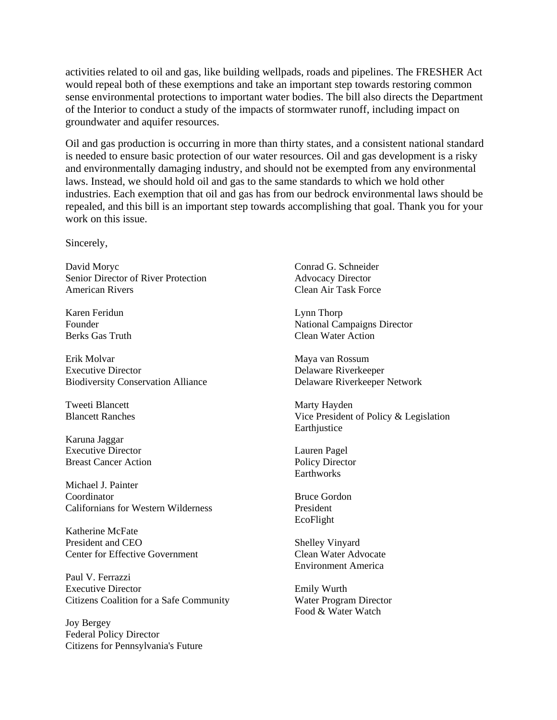activities related to oil and gas, like building wellpads, roads and pipelines. The FRESHER Act would repeal both of these exemptions and take an important step towards restoring common sense environmental protections to important water bodies. The bill also directs the Department of the Interior to conduct a study of the impacts of stormwater runoff, including impact on groundwater and aquifer resources.

Oil and gas production is occurring in more than thirty states, and a consistent national standard is needed to ensure basic protection of our water resources. Oil and gas development is a risky and environmentally damaging industry, and should not be exempted from any environmental laws. Instead, we should hold oil and gas to the same standards to which we hold other industries. Each exemption that oil and gas has from our bedrock environmental laws should be repealed, and this bill is an important step towards accomplishing that goal. Thank you for your work on this issue.

Sincerely,

David Moryc Senior Director of River Protection American Rivers

Karen Feridun Founder Berks Gas Truth

Erik Molvar Executive Director Biodiversity Conservation Alliance

Tweeti Blancett Blancett Ranches

Karuna Jaggar Executive Director Breast Cancer Action

Michael J. Painter Coordinator Californians for Western Wilderness

Katherine McFate President and CEO Center for Effective Government

Paul V. Ferrazzi Executive Director Citizens Coalition for a Safe Community

Joy Bergey Federal Policy Director Citizens for Pennsylvania's Future

Conrad G. Schneider Advocacy Director Clean Air Task Force

Lynn Thorp National Campaigns Director Clean Water Action

Maya van Rossum Delaware Riverkeeper Delaware Riverkeeper Network

Marty Hayden Vice President of Policy & Legislation **Earthjustice** 

Lauren Pagel Policy Director Earthworks

Bruce Gordon President EcoFlight

Shelley Vinyard Clean Water Advocate Environment America

Emily Wurth Water Program Director Food & Water Watch